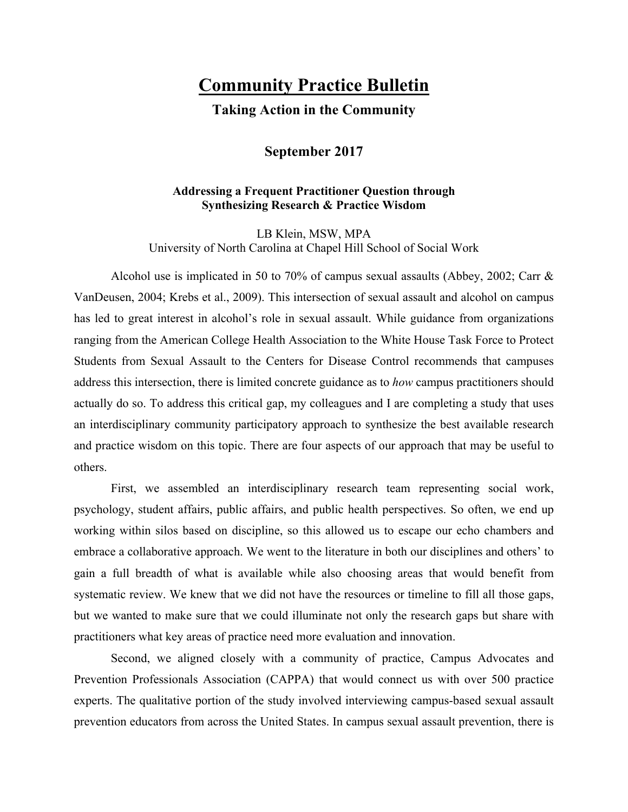## **Community Practice Bulletin**

**Taking Action in the Community**

## **September 2017**

## **Addressing a Frequent Practitioner Question through Synthesizing Research & Practice Wisdom**

LB Klein, MSW, MPA University of North Carolina at Chapel Hill School of Social Work

Alcohol use is implicated in 50 to 70% of campus sexual assaults (Abbey, 2002; Carr & VanDeusen, 2004; Krebs et al., 2009). This intersection of sexual assault and alcohol on campus has led to great interest in alcohol's role in sexual assault. While guidance from organizations ranging from the American College Health Association to the White House Task Force to Protect Students from Sexual Assault to the Centers for Disease Control recommends that campuses address this intersection, there is limited concrete guidance as to *how* campus practitioners should actually do so. To address this critical gap, my colleagues and I are completing a study that uses an interdisciplinary community participatory approach to synthesize the best available research and practice wisdom on this topic. There are four aspects of our approach that may be useful to others.

First, we assembled an interdisciplinary research team representing social work, psychology, student affairs, public affairs, and public health perspectives. So often, we end up working within silos based on discipline, so this allowed us to escape our echo chambers and embrace a collaborative approach. We went to the literature in both our disciplines and others' to gain a full breadth of what is available while also choosing areas that would benefit from systematic review. We knew that we did not have the resources or timeline to fill all those gaps, but we wanted to make sure that we could illuminate not only the research gaps but share with practitioners what key areas of practice need more evaluation and innovation.

Second, we aligned closely with a community of practice, Campus Advocates and Prevention Professionals Association (CAPPA) that would connect us with over 500 practice experts. The qualitative portion of the study involved interviewing campus-based sexual assault prevention educators from across the United States. In campus sexual assault prevention, there is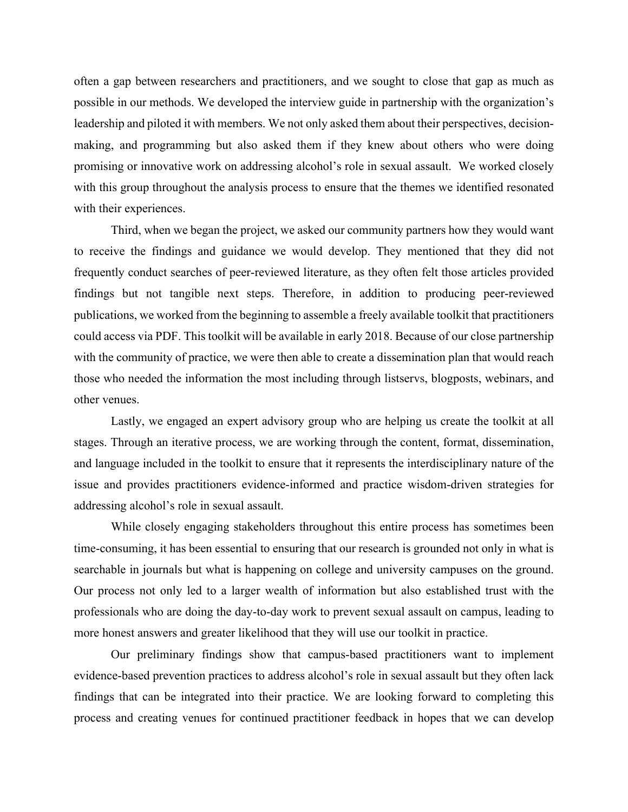often a gap between researchers and practitioners, and we sought to close that gap as much as possible in our methods. We developed the interview guide in partnership with the organization's leadership and piloted it with members. We not only asked them about their perspectives, decisionmaking, and programming but also asked them if they knew about others who were doing promising or innovative work on addressing alcohol's role in sexual assault. We worked closely with this group throughout the analysis process to ensure that the themes we identified resonated with their experiences.

Third, when we began the project, we asked our community partners how they would want to receive the findings and guidance we would develop. They mentioned that they did not frequently conduct searches of peer-reviewed literature, as they often felt those articles provided findings but not tangible next steps. Therefore, in addition to producing peer-reviewed publications, we worked from the beginning to assemble a freely available toolkit that practitioners could access via PDF. This toolkit will be available in early 2018. Because of our close partnership with the community of practice, we were then able to create a dissemination plan that would reach those who needed the information the most including through listservs, blogposts, webinars, and other venues.

Lastly, we engaged an expert advisory group who are helping us create the toolkit at all stages. Through an iterative process, we are working through the content, format, dissemination, and language included in the toolkit to ensure that it represents the interdisciplinary nature of the issue and provides practitioners evidence-informed and practice wisdom-driven strategies for addressing alcohol's role in sexual assault.

While closely engaging stakeholders throughout this entire process has sometimes been time-consuming, it has been essential to ensuring that our research is grounded not only in what is searchable in journals but what is happening on college and university campuses on the ground. Our process not only led to a larger wealth of information but also established trust with the professionals who are doing the day-to-day work to prevent sexual assault on campus, leading to more honest answers and greater likelihood that they will use our toolkit in practice.

Our preliminary findings show that campus-based practitioners want to implement evidence-based prevention practices to address alcohol's role in sexual assault but they often lack findings that can be integrated into their practice. We are looking forward to completing this process and creating venues for continued practitioner feedback in hopes that we can develop